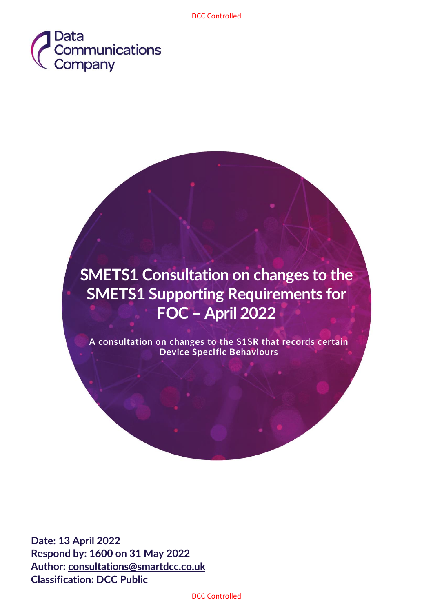

# **SMETS1 Consultation on changes to the SMETS1 Supporting Requirements for FOC – April 2022**

**A consultation on changes to the S1SR that records certain Device Specific Behaviours** 

**Date: 13 April 2022 Respond by: 1600 on 31 May 2022 Author: [consultations@smartdcc.co.uk](mailto:consultations@smartdcc.co.uk) Classification: DCC Public**

DCC Controlled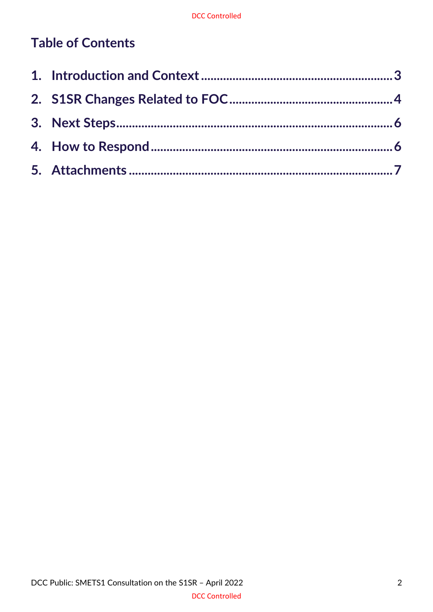# **Table of Contents**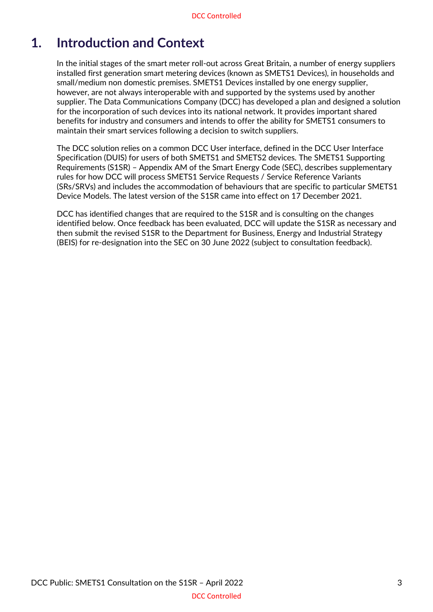### <span id="page-2-0"></span>**1. Introduction and Context**

In the initial stages of the smart meter roll-out across Great Britain, a number of energy suppliers installed first generation smart metering devices (known as SMETS1 Devices), in households and small/medium non domestic premises. SMETS1 Devices installed by one energy supplier, however, are not always interoperable with and supported by the systems used by another supplier. The Data Communications Company (DCC) has developed a plan and designed a solution for the incorporation of such devices into its national network. It provides important shared benefits for industry and consumers and intends to offer the ability for SMETS1 consumers to maintain their smart services following a decision to switch suppliers.

The DCC solution relies on a common DCC User interface, defined in the DCC User Interface Specification (DUIS) for users of both SMETS1 and SMETS2 devices. The SMETS1 Supporting Requirements (S1SR) – Appendix AM of the Smart Energy Code (SEC), describes supplementary rules for how DCC will process SMETS1 Service Requests / Service Reference Variants (SRs/SRVs) and includes the accommodation of behaviours that are specific to particular SMETS1 Device Models. The latest version of the S1SR came into effect on 17 December 2021.

DCC has identified changes that are required to the S1SR and is consulting on the changes identified below. Once feedback has been evaluated, DCC will update the S1SR as necessary and then submit the revised S1SR to the Department for Business, Energy and Industrial Strategy (BEIS) for re-designation into the SEC on 30 June 2022 (subject to consultation feedback).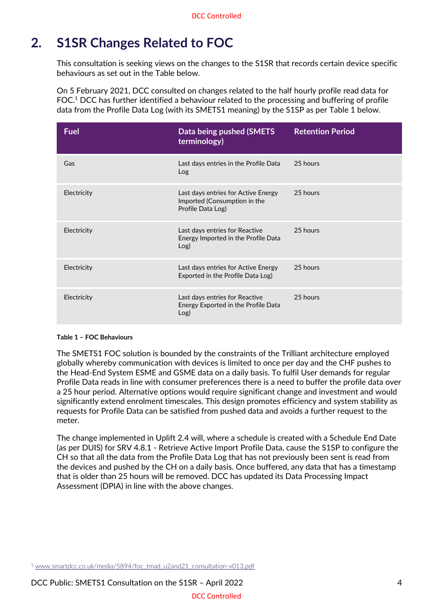# <span id="page-3-0"></span>**2. S1SR Changes Related to FOC**

This consultation is seeking views on the changes to the S1SR that records certain device specific behaviours as set out in the Table below.

On 5 February 2021, DCC consulted on changes related to the half hourly profile read data for FOC.<sup>1</sup> DCC has further identified a behaviour related to the processing and buffering of profile data from the Profile Data Log (with its SMETS1 meaning) by the S1SP as per Table 1 below.

| <b>Fuel</b> | Data being pushed (SMETS<br>terminology)                                                 | <b>Retention Period</b> |
|-------------|------------------------------------------------------------------------------------------|-------------------------|
| Gas         | Last days entries in the Profile Data<br>Log                                             | 25 hours                |
| Electricity | Last days entries for Active Energy<br>Imported (Consumption in the<br>Profile Data Log) | 25 hours                |
| Electricity | Last days entries for Reactive<br>Energy Imported in the Profile Data<br>Log)            | 25 hours                |
| Electricity | Last days entries for Active Energy<br>Exported in the Profile Data Log)                 | 25 hours                |
| Electricity | Last days entries for Reactive<br>Energy Exported in the Profile Data<br>Log)            | 25 hours                |

#### **Table 1 – FOC Behaviours**

The SMETS1 FOC solution is bounded by the constraints of the Trilliant architecture employed globally whereby communication with devices is limited to once per day and the CHF pushes to the Head-End System ESME and GSME data on a daily basis. To fulfil User demands for regular Profile Data reads in line with consumer preferences there is a need to buffer the profile data over a 25 hour period. Alternative options would require significant change and investment and would significantly extend enrolment timescales. This design promotes efficiency and system stability as requests for Profile Data can be satisfied from pushed data and avoids a further request to the meter.

The change implemented in Uplift 2.4 will, where a schedule is created with a Schedule End Date (as per DUIS) for SRV 4.8.1 - Retrieve Active Import Profile Data, cause the S1SP to configure the CH so that all the data from the Profile Data Log that has not previously been sent is read from the devices and pushed by the CH on a daily basis. Once buffered, any data that has a timestamp that is older than 25 hours will be removed. DCC has updated its Data Processing Impact Assessment (DPIA) in line with the above changes.

<sup>1</sup> [www.smartdcc.co.uk/media/5894/foc\\_tmad\\_u2and21\\_consultation-v013.pdf](https://www.smartdcc.co.uk/media/5894/foc_tmad_u2and21_consultation-v013.pdf)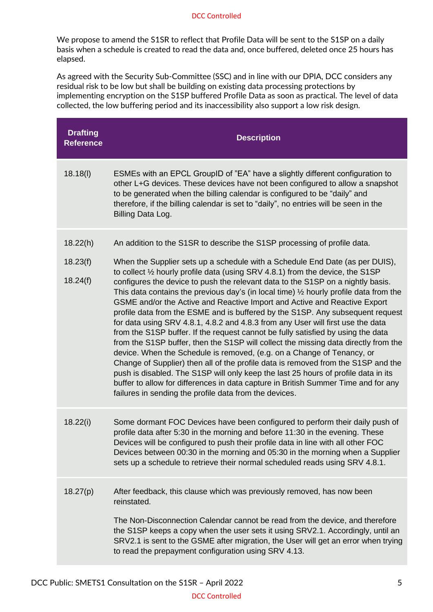#### DCC Controlled

We propose to amend the S1SR to reflect that Profile Data will be sent to the S1SP on a daily basis when a schedule is created to read the data and, once buffered, deleted once 25 hours has elapsed.

As agreed with the Security Sub-Committee (SSC) and in line with our DPIA, DCC considers any residual risk to be low but shall be building on existing data processing protections by implementing encryption on the S1SP buffered Profile Data as soon as practical. The level of data collected, the low buffering period and its inaccessibility also support a low risk design.

| <b>Drafting</b><br><b>Reference</b> | <b>Description</b>                                                                                                                                                                                                                                                                                                                                                                                                                                                                                                                                                                                                                                                                                                                                                                                                                                                                                                                                                                                                                                                                                                                                                                                                                                                  |
|-------------------------------------|---------------------------------------------------------------------------------------------------------------------------------------------------------------------------------------------------------------------------------------------------------------------------------------------------------------------------------------------------------------------------------------------------------------------------------------------------------------------------------------------------------------------------------------------------------------------------------------------------------------------------------------------------------------------------------------------------------------------------------------------------------------------------------------------------------------------------------------------------------------------------------------------------------------------------------------------------------------------------------------------------------------------------------------------------------------------------------------------------------------------------------------------------------------------------------------------------------------------------------------------------------------------|
| 18.18(1)                            | ESMEs with an EPCL GroupID of "EA" have a slightly different configuration to<br>other L+G devices. These devices have not been configured to allow a snapshot<br>to be generated when the billing calendar is configured to be "daily" and<br>therefore, if the billing calendar is set to "daily", no entries will be seen in the<br>Billing Data Log.                                                                                                                                                                                                                                                                                                                                                                                                                                                                                                                                                                                                                                                                                                                                                                                                                                                                                                            |
| 18.22(h)<br>18.23(f)<br>18.24(f)    | An addition to the S1SR to describe the S1SP processing of profile data.<br>When the Supplier sets up a schedule with a Schedule End Date (as per DUIS),<br>to collect 1/2 hourly profile data (using SRV 4.8.1) from the device, the S1SP<br>configures the device to push the relevant data to the S1SP on a nightly basis.<br>This data contains the previous day's (in local time) $\frac{1}{2}$ hourly profile data from the<br>GSME and/or the Active and Reactive Import and Active and Reactive Export<br>profile data from the ESME and is buffered by the S1SP. Any subsequent request<br>for data using SRV 4.8.1, 4.8.2 and 4.8.3 from any User will first use the data<br>from the S1SP buffer. If the request cannot be fully satisfied by using the data<br>from the S1SP buffer, then the S1SP will collect the missing data directly from the<br>device. When the Schedule is removed, (e.g. on a Change of Tenancy, or<br>Change of Supplier) then all of the profile data is removed from the S1SP and the<br>push is disabled. The S1SP will only keep the last 25 hours of profile data in its<br>buffer to allow for differences in data capture in British Summer Time and for any<br>failures in sending the profile data from the devices. |
| 18.22(i)                            | Some dormant FOC Devices have been configured to perform their daily push of<br>profile data after 5:30 in the morning and before 11:30 in the evening. These<br>Devices will be configured to push their profile data in line with all other FOC<br>Devices between 00:30 in the morning and 05:30 in the morning when a Supplier<br>sets up a schedule to retrieve their normal scheduled reads using SRV 4.8.1.                                                                                                                                                                                                                                                                                                                                                                                                                                                                                                                                                                                                                                                                                                                                                                                                                                                  |
| 18.27(p)                            | After feedback, this clause which was previously removed, has now been<br>reinstated.<br>The Non-Disconnection Calendar cannot be read from the device, and therefore<br>the S1SP keeps a copy when the user sets it using SRV2.1. Accordingly, until an<br>SRV2.1 is sent to the GSME after migration, the User will get an error when trying<br>to read the prepayment configuration using SRV 4.13.                                                                                                                                                                                                                                                                                                                                                                                                                                                                                                                                                                                                                                                                                                                                                                                                                                                              |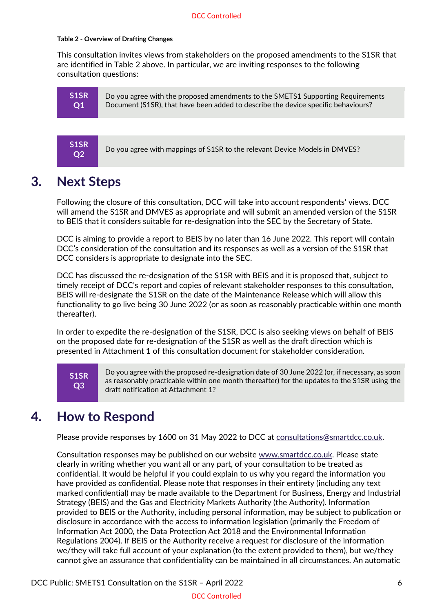#### **Table 2 - Overview of Drafting Changes**

This consultation invites views from stakeholders on the proposed amendments to the S1SR that are identified in Table 2 above. In particular, we are inviting responses to the following consultation questions:

```
S1SR
Q1
```
Do you agree with the proposed amendments to the SMETS1 Supporting Requirements Document (S1SR), that have been added to describe the device specific behaviours?



Do you agree with mappings of S1SR to the relevant Device Models in DMVES?

### <span id="page-5-0"></span>**3. Next Steps**

Following the closure of this consultation, DCC will take into account respondents' views. DCC will amend the S1SR and DMVES as appropriate and will submit an amended version of the S1SR to BEIS that it considers suitable for re-designation into the SEC by the Secretary of State.

DCC is aiming to provide a report to BEIS by no later than 16 June 2022. This report will contain DCC's consideration of the consultation and its responses as well as a version of the S1SR that DCC considers is appropriate to designate into the SEC.

DCC has discussed the re-designation of the S1SR with BEIS and it is proposed that, subject to timely receipt of DCC's report and copies of relevant stakeholder responses to this consultation, BEIS will re-designate the S1SR on the date of the Maintenance Release which will allow this functionality to go live being 30 June 2022 (or as soon as reasonably practicable within one month thereafter).

In order to expedite the re-designation of the S1SR, DCC is also seeking views on behalf of BEIS on the proposed date for re-designation of the S1SR as well as the draft direction which is presented in Attachment 1 of this consultation document for stakeholder consideration.

**S1SR Q3**

Do you agree with the proposed re-designation date of 30 June 2022 (or, if necessary, as soon as reasonably practicable within one month thereafter) for the updates to the S1SR using the draft notification at Attachment 1?

# <span id="page-5-1"></span>**4. How to Respond**

Please provide responses by 1600 on 31 May 2022 to DCC at [consultations@smartdcc.co.uk.](mailto:consultations@smartdcc.co.uk)

Consultation responses may be published on our website [www.smartdcc.co.uk.](http://www.smartdcc.co.uk/) Please state clearly in writing whether you want all or any part, of your consultation to be treated as confidential. It would be helpful if you could explain to us why you regard the information you have provided as confidential. Please note that responses in their entirety (including any text marked confidential) may be made available to the Department for Business, Energy and Industrial Strategy (BEIS) and the Gas and Electricity Markets Authority (the Authority). Information provided to BEIS or the Authority, including personal information, may be subject to publication or disclosure in accordance with the access to information legislation (primarily the Freedom of Information Act 2000, the Data Protection Act 2018 and the Environmental Information Regulations 2004). If BEIS or the Authority receive a request for disclosure of the information we/they will take full account of your explanation (to the extent provided to them), but we/they cannot give an assurance that confidentiality can be maintained in all circumstances. An automatic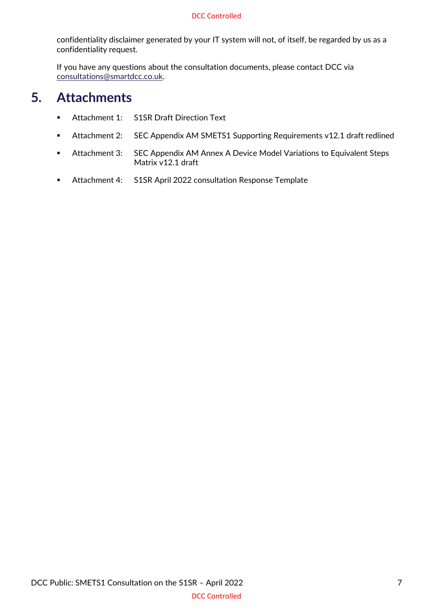#### DCC Controlled

confidentiality disclaimer generated by your IT system will not, of itself, be regarded by us as a confidentiality request.

If you have any questions about the consultation documents, please contact DCC via [consultations@smartdcc.co.uk.](mailto:consultations@smartdcc.co.uk)

### <span id="page-6-0"></span>**5. Attachments**

- Attachment 1: S1SR Draft Direction Text
- Attachment 2: SEC Appendix AM SMETS1 Supporting Requirements v12.1 draft redlined
- Attachment 3: SEC Appendix AM Annex A Device Model Variations to Equivalent Steps Matrix v12.1 draft
- Attachment 4: S1SR April 2022 consultation Response Template